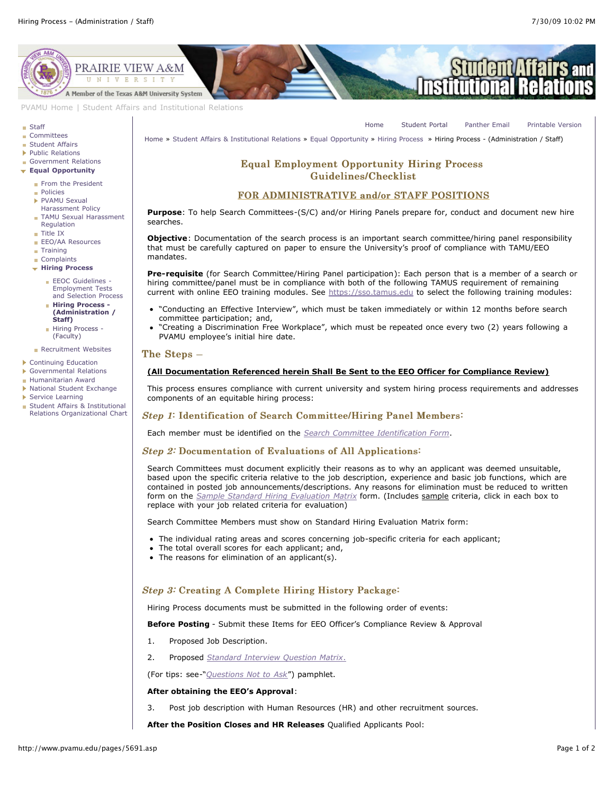[Home](http://www.pvamu.edu/pages/1.asp) [Student Portal](http://panthertracks.pvamu.edu/) [Panther Email](http://www.pvamu.edu/pages/1740.asp) [Printable Version](http://www.pvamu.edu/print/5691.asp)



[PVAMU Home](http://www.pvamu.edu/pages/1.asp) | [Student Affairs and Institutional Relations](http://www.pvamu.edu/pages/114.asp)

#### **[Staff](http://www.pvamu.edu/pages/923.asp)**

- **[Committees](http://www.pvamu.edu/pages/925.asp)**
- **[Student Affairs](http://www.pvamu.edu/pages/1441.asp)**
- ▶ [Public Relations](http://www.pvamu.edu/pages/926.asp)
- [Government Relations](http://www.pvamu.edu/pages/927.asp)
- **[Equal Opportunity](http://www.pvamu.edu/pages/929.asp)**
	- [From the President](http://www.pvamu.edu/pages/1125.asp)
	- [Policies](http://www.pvamu.edu/pages/945.asp)
	- PVAMU Sexual [Harassment Policy](http://www.pvamu.edu/pages/948.asp)
	- **[TAMU Sexual Harassment](http://www.pvamu.edu/pages/1121.asp)** Regulation
	- [Title IX](http://www.pvamu.edu/pages/947.asp)
	- [EEO/AA Resources](http://www.pvamu.edu/pages/1122.asp)
	- **[Training](http://www.pvamu.edu/pages/1123.asp)**
	- [Complaints](http://www.pvamu.edu/pages/1124.asp)
	- **[Hiring Process](http://www.pvamu.edu/pages/1488.asp)**
		- **EEOC Guidelines -**Employment Tests [and Selection Process](http://www.pvamu.edu/pages/5709.asp)
		- **Hiring Process - [\(Administration /](http://www.pvamu.edu/pages/5691.asp) Staff)**
		- [Hiring Process -](http://www.pvamu.edu/pages/5690.asp) (Faculty)

## **[Recruitment Websites](http://www.pvamu.edu/pages/1487.asp)**

- [Continuing Education](http://www.pvamu.edu/pages/2034.asp)
- [Governmental Relations](http://www.pvamu.edu/pages/5318.asp)
- [Humanitarian Award](http://www.pvamu.edu/pages/3916.asp)
- [National Student Exchange](http://www.pvamu.edu/pages/3196.asp)
- [Service Learning](http://www.pvamu.edu/pages/4212.asp)
- Student Affairs & Institutional [Relations Organizational Chart](http://www.pvamu.edu/pages/3820.asp)

[Home](http://www.pvamu.edu/pages/1.asp) » [Student Affairs & Institutional Relations](http://www.pvamu.edu/pages/114.asp) » [Equal Opportunity](http://www.pvamu.edu/pages/929.asp) » [Hiring Process](http://www.pvamu.edu/pages/1488.asp) » Hiring Process - (Administration / Staff)

# Equal Employment Opportunity Hiring Process Equal Employment Opportunity Hiring Process Guidelines/Checklist Guidelines/Checklist

# FOR ADMINISTRATIVE and/or STAFF POSITIONS

**Purpose**: To help Search Committees-(S/C) and/or Hiring Panels prepare for, conduct and document new hire searches.

**Objective**: Documentation of the search process is an important search committee/hiring panel responsibility that must be carefully captured on paper to ensure the University's proof of compliance with TAMU/EEO mandates.

**Pre-requisite** (for Search Committee/Hiring Panel participation): Each person that is a member of a search or hiring committee/panel must be in compliance with both of the following TAMUS requirement of remaining current with online EEO training modules. See [https://sso.tamus.edu](https://sso.tamus.edu/) to select the following training modules:

- "Conducting an Effective Interview", which must be taken immediately or within 12 months before search committee participation; and,
- "Creating a Discrimination Free Workplace", which must be repeated once every two (2) years following a PVAMU employee's initial hire date.

#### The Steps –

### **(All Documentation Referenced herein Shall Be Sent to the EEO Officer for Compliance Review)**

This process ensures compliance with current university and system hiring process requirements and addresses components of an equitable hiring process:

# Step 1: Identification of Search Committee/Hiring Panel Members:

Each member must be identified on the *[Search Committee Identification Form](http://www.pvamu.edu/Include/EEo/Hiring_process/Search%20Committee%20Identification%20Form.06222009.rj.doc)*.

### Step 2: Documentation of Evaluations of All Applications:

Search Committees must document explicitly their reasons as to why an applicant was deemed unsuitable, based upon the specific criteria relative to the job description, experience and basic job functions, which are contained in posted job announcements/descriptions. Any reasons for elimination must be reduced to written form on the *[Sample Standard Hiring Evaluation Matrix](http://www.pvamu.edu/Include/EEo/Hiring_process/FINAL-Interview%20Evaluation%20Matrix.xls)* form. (Includes sample criteria, click in each box to replace with your job related criteria for evaluation)

Search Committee Members must show on Standard Hiring Evaluation Matrix form:

- The individual rating areas and scores concerning job-specific criteria for each applicant;
- The total overall scores for each applicant; and,
- The reasons for elimination of an applicant(s).

# Step 3: Creating A Complete Hiring History Package:

Hiring Process documents must be submitted in the following order of events:

**Before Posting** - Submit these Items for EEO Officer's Compliance Review & Approval

- 1. Proposed Job Description.
- 2. Proposed *[Standard Interview Question Matrix](http://www.pvamu.edu/Include/EEo/Hiring_process/Standard%20Interview%20Questions%20Matrix-approved%20reuse%20by%20PV-TAMU%2005212009%20rj.doc)*.

(For tips: see-"*[Questions Not to Ask](http://www.pvamu.edu/Include/EEo/Hiring_process/QuesNottoAsk309.doc)*") pamphlet.

### **After obtaining the EEO's Approval**:

3. Post job description with Human Resources (HR) and other recruitment sources.

**After the Position Closes and HR Releases** Qualified Applicants Pool: